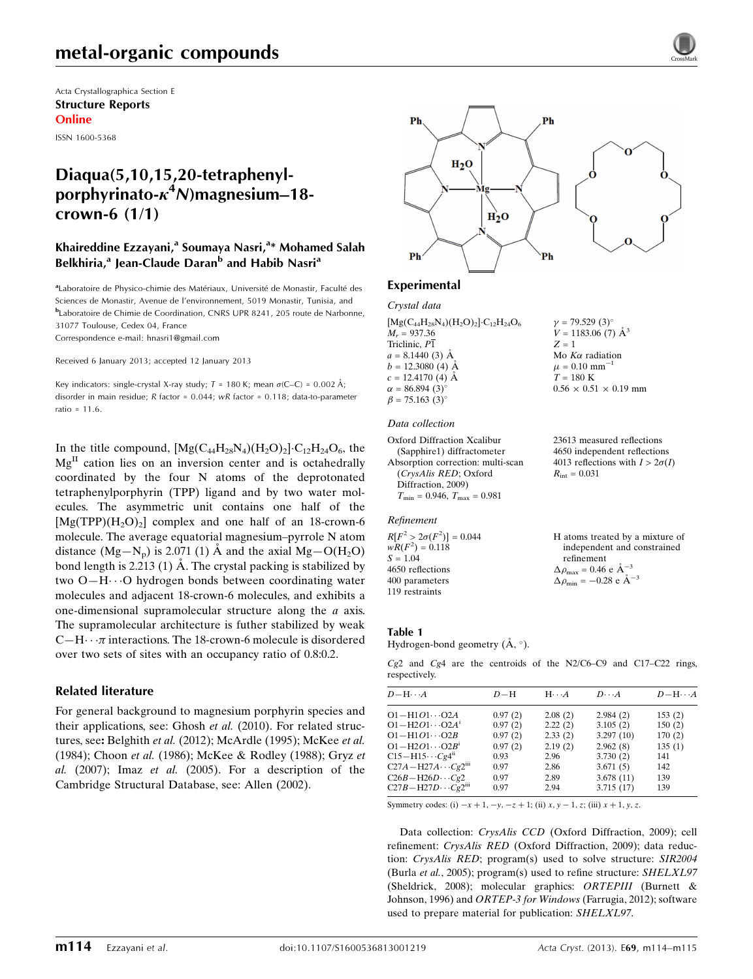Acta Crystallographica Section E Structure Reports Online

ISSN 1600-5368

# Diaqua(5,10,15,20-tetraphenylporphyrinato- $\kappa^4$ N)magnesium–18crown-6 (1/1)

# Khaireddine Ezzayani,<sup>a</sup> Soumaya Nasri,<sup>a</sup>\* Mohamed Salah Belkhiria,<sup>a</sup> Jean-Claude Daran<sup>b</sup> and Habib Nasri<sup>a</sup>

aLaboratoire de Physico-chimie des Matériaux, Université de Monastir, Faculté des Sciences de Monastir, Avenue de l'environnement, 5019 Monastir, Tunisia, and b Laboratoire de Chimie de Coordination, CNRS UPR 8241, 205 route de Narbonne, 31077 Toulouse, Cedex 04, France

Correspondence e-mail: [hnasri1@gmail.com](https://scripts.iucr.org/cgi-bin/cr.cgi?rm=pdfbb&cnor=xu5669&bbid=BB14)

Received 6 January 2013; accepted 12 January 2013

Key indicators: single-crystal X-ray study;  $T = 180$  K; mean  $\sigma$ (C–C) = 0.002 Å; disorder in main residue; R factor = 0.044; wR factor = 0.118; data-to-parameter ratio =  $11.6$ 

In the title compound,  $[Mg(C_{44}H_{28}N_4)(H_2O)_2]\cdot C_{12}H_{24}O_6$ , the  $Mg<sup>II</sup>$  cation lies on an inversion center and is octahedrally coordinated by the four N atoms of the deprotonated tetraphenylporphyrin (TPP) ligand and by two water molecules. The asymmetric unit contains one half of the  $[Mg(TPP)(H<sub>2</sub>O)<sub>2</sub>]$  complex and one half of an 18-crown-6 molecule. The average equatorial magnesium–pyrrole N atom distance  $(Mg-N_p)$  is 2.071 (1) Å and the axial  $Mg-O(H_2O)$ bond length is 2.213 (1)  $\AA$ . The crystal packing is stabilized by two O—H---O hydrogen bonds between coordinating water molecules and adjacent 18-crown-6 molecules, and exhibits a one-dimensional supramolecular structure along the a axis. The supramolecular architecture is futher stabilized by weak C-H $\cdots$  *π* interactions. The 18-crown-6 molecule is disordered over two sets of sites with an occupancy ratio of 0.8:0.2.

## Related literature

For general background to magnesium porphyrin species and their applications, see: Ghosh et al. (2010). For related structures, see: Belghith et al. (2012); McArdle (1995); McKee et al. (1984); Choon et al. (1986); McKee & Rodley (1988); Gryz et al.  $(2007)$ ; Imaz et al.  $(2005)$ . For a description of the Cambridge Structural Database, see: Allen (2002).



# Experimental

## Crystal data

 $[Mg(C_{44}H_{28}N_4)(H_2O)_2] \cdot C_{12}H_{24}O_6$  $M_r = 937.36$ Triclinic, P1  $a = 8.1440(3)$  Å  $b = 12.3080$  (4) Å  $c = 12.4170$  (4) Å  $\alpha = 86.894(3)^{\circ}$  $\beta = 75.163$  (3)<sup>o</sup>

#### Data collection

```
Oxford Diffraction Xcalibur
  (Sapphire1) diffractometer
Absorption correction: multi-scan
  (CrysAlis RED; Oxford
  Diffraction, 2009)
  T_{\text{min}} = 0.946, T_{\text{max}} = 0.981
```
#### Refinement

 $R[F^2 > 2\sigma(F^2)] = 0.044$  $wR(F^2) = 0.118$  $S = 1.04$ 4650 reflections 400 parameters 119 restraints

23613 measured reflections 4650 independent reflections 4013 reflections with  $I > 2\sigma(I)$  $R_{\text{int}} = 0.031$ 

 $v = 79.529(3)$ °  $V = 1183.06$  (7)  $\AA^3$ 

Mo  $K\alpha$  radiation  $\mu = 0.10$  mm<sup>-1</sup>  $T = 180$  K

 $0.56 \times 0.51 \times 0.19$  mm

 $Z = 1$ 

| H atoms treated by a mixture of                    |
|----------------------------------------------------|
| independent and constrained                        |
| refinement                                         |
| $\Delta \rho_{\text{max}} = 0.46 \text{ e A}^{-3}$ |
| $\Delta \rho_{\rm min} = -0.28$ e $\rm \AA^{-3}$   |

#### Table 1

Hydrogen-bond geometry  $(\AA, \degree)$ .

Cg2 and Cg4 are the centroids of the N2/C6–C9 and C17–C22 rings, respectively.

| $D - H \cdots A$                        | $D-H$   | $H \cdot \cdot \cdot A$ | $D\cdots A$ | $D - H \cdots A$ |
|-----------------------------------------|---------|-------------------------|-------------|------------------|
| $O1 - H1O1 \cdots O2A$                  | 0.97(2) | 2.08(2)                 | 2.984(2)    | 153(2)           |
| $O1 - H2O1 \cdots O2A^{i}$              | 0.97(2) | 2.22(2)                 | 3.105(2)    | 150(2)           |
| $O1 - H1O1 \cdots O2B$                  | 0.97(2) | 2.33(2)                 | 3.297(10)   | 170(2)           |
| $O1 - H2O1 \cdots O2B^{1}$              | 0.97(2) | 2.19(2)                 | 2.962(8)    | 135(1)           |
| $C15 - H15 \cdots Cg4^{n}$              | 0.93    | 2.96                    | 3.730(2)    | 141              |
| $C27A - H27A \cdots Cg2$ <sup>iii</sup> | 0.97    | 2.86                    | 3.671(5)    | 142              |
| $C26B - H26D \cdots Cg2$                | 0.97    | 2.89                    | 3.678(11)   | 139              |
| $C27B - H27D \cdots Cg2m$               | 0.97    | 2.94                    | 3.715(17)   | 139              |

Symmetry codes: (i)  $-x + 1$ ,  $-y$ ,  $-z + 1$ ; (ii)  $x, y - 1$ , z; (iii)  $x + 1$ , y, z.

Data collection: CrysAlis CCD (Oxford Diffraction, 2009); cell refinement: CrysAlis RED (Oxford Diffraction, 2009); data reduction: CrysAlis RED; program(s) used to solve structure: SIR2004 (Burla et al., 2005); program(s) used to refine structure: SHELXL97 (Sheldrick, 2008); molecular graphics: ORTEPIII (Burnett & Johnson, 1996) and ORTEP-3 for Windows (Farrugia, 2012); software used to prepare material for publication: SHELXL97.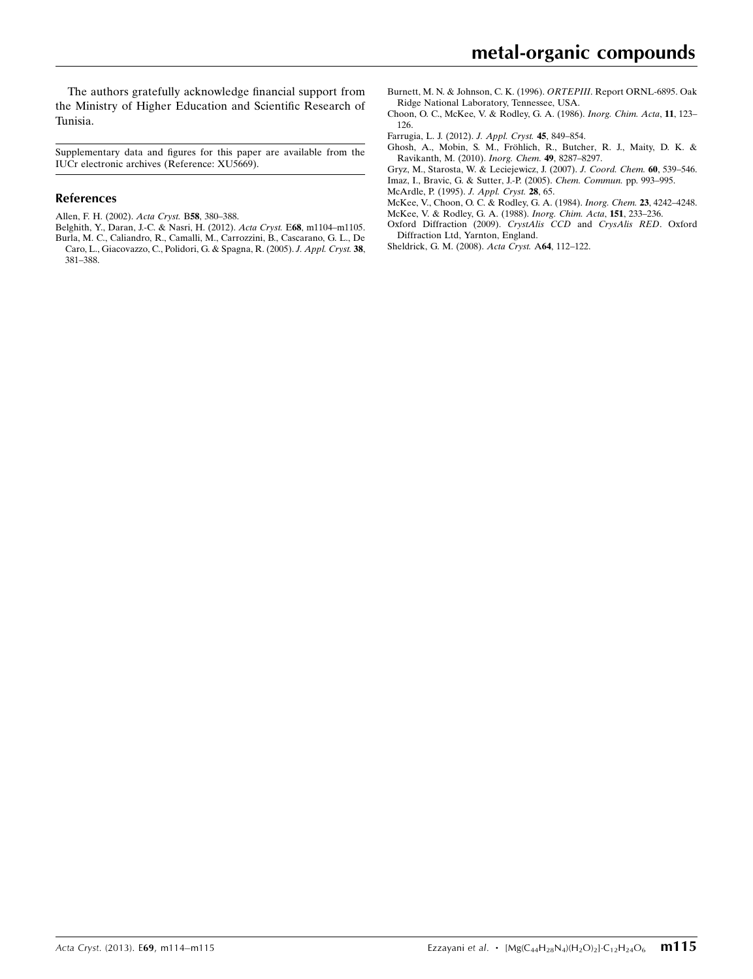The authors gratefully acknowledge financial support from the Ministry of Higher Education and Scientific Research of Tunisia.

Supplementary data and figures for this paper are available from the IUCr electronic archives (Reference: XU5669).

### References

- [Allen, F. H. \(2002\).](https://scripts.iucr.org/cgi-bin/cr.cgi?rm=pdfbb&cnor=xu5669&bbid=BB1) Acta Cryst. B58, 380–388.
- [Belghith, Y., Daran, J.-C. & Nasri, H. \(2012\).](https://scripts.iucr.org/cgi-bin/cr.cgi?rm=pdfbb&cnor=xu5669&bbid=BB2) Acta Cryst. E68, m1104–m1105. [Burla, M. C., Caliandro, R., Camalli, M., Carrozzini, B., Cascarano, G. L., De](https://scripts.iucr.org/cgi-bin/cr.cgi?rm=pdfbb&cnor=xu5669&bbid=BB3) [Caro, L., Giacovazzo, C., Polidori, G. & Spagna, R. \(2005\).](https://scripts.iucr.org/cgi-bin/cr.cgi?rm=pdfbb&cnor=xu5669&bbid=BB3) J. Appl. Cryst. 38, [381–388.](https://scripts.iucr.org/cgi-bin/cr.cgi?rm=pdfbb&cnor=xu5669&bbid=BB3)
- [Burnett, M. N. & Johnson, C. K. \(1996\).](https://scripts.iucr.org/cgi-bin/cr.cgi?rm=pdfbb&cnor=xu5669&bbid=BB4) ORTEPIII. Report ORNL-6895. Oak [Ridge National Laboratory, Tennessee, USA.](https://scripts.iucr.org/cgi-bin/cr.cgi?rm=pdfbb&cnor=xu5669&bbid=BB4)
- [Choon, O. C., McKee, V. & Rodley, G. A. \(1986\).](https://scripts.iucr.org/cgi-bin/cr.cgi?rm=pdfbb&cnor=xu5669&bbid=BB5) Inorg. Chim. Acta, 11, 123– [126.](https://scripts.iucr.org/cgi-bin/cr.cgi?rm=pdfbb&cnor=xu5669&bbid=BB5)
- [Farrugia, L. J. \(2012\).](https://scripts.iucr.org/cgi-bin/cr.cgi?rm=pdfbb&cnor=xu5669&bbid=BB6) J. Appl. Cryst. 45, 849–854.
- Ghosh, A., Mobin, S. M., Fröhlich, R., Butcher, R. J., Maity, D. K. & [Ravikanth, M. \(2010\).](https://scripts.iucr.org/cgi-bin/cr.cgi?rm=pdfbb&cnor=xu5669&bbid=BB7) Inorg. Chem. 49, 8287–8297.
- [Gryz, M., Starosta, W. & Leciejewicz, J. \(2007\).](https://scripts.iucr.org/cgi-bin/cr.cgi?rm=pdfbb&cnor=xu5669&bbid=BB8) J. Coord. Chem. 60, 539–546. [Imaz, I., Bravic, G. & Sutter, J.-P. \(2005\).](https://scripts.iucr.org/cgi-bin/cr.cgi?rm=pdfbb&cnor=xu5669&bbid=BB9) Chem. Commun. pp. 993–995.
- [McArdle, P. \(1995\).](https://scripts.iucr.org/cgi-bin/cr.cgi?rm=pdfbb&cnor=xu5669&bbid=BB10) J. Appl. Cryst. 28, 65.
- [McKee, V., Choon, O. C. & Rodley, G. A. \(1984\).](https://scripts.iucr.org/cgi-bin/cr.cgi?rm=pdfbb&cnor=xu5669&bbid=BB11) Inorg. Chem. 23, 4242–4248. [McKee, V. & Rodley, G. A. \(1988\).](https://scripts.iucr.org/cgi-bin/cr.cgi?rm=pdfbb&cnor=xu5669&bbid=BB12) Inorg. Chim. Acta, 151, 233–236.
- [Oxford Diffraction \(2009\).](https://scripts.iucr.org/cgi-bin/cr.cgi?rm=pdfbb&cnor=xu5669&bbid=BB13) CrystAlis CCD and CrysAlis RED. Oxford [Diffraction Ltd, Yarnton, England.](https://scripts.iucr.org/cgi-bin/cr.cgi?rm=pdfbb&cnor=xu5669&bbid=BB13)
- [Sheldrick, G. M. \(2008\).](https://scripts.iucr.org/cgi-bin/cr.cgi?rm=pdfbb&cnor=xu5669&bbid=BB14) Acta Cryst. A64, 112–122.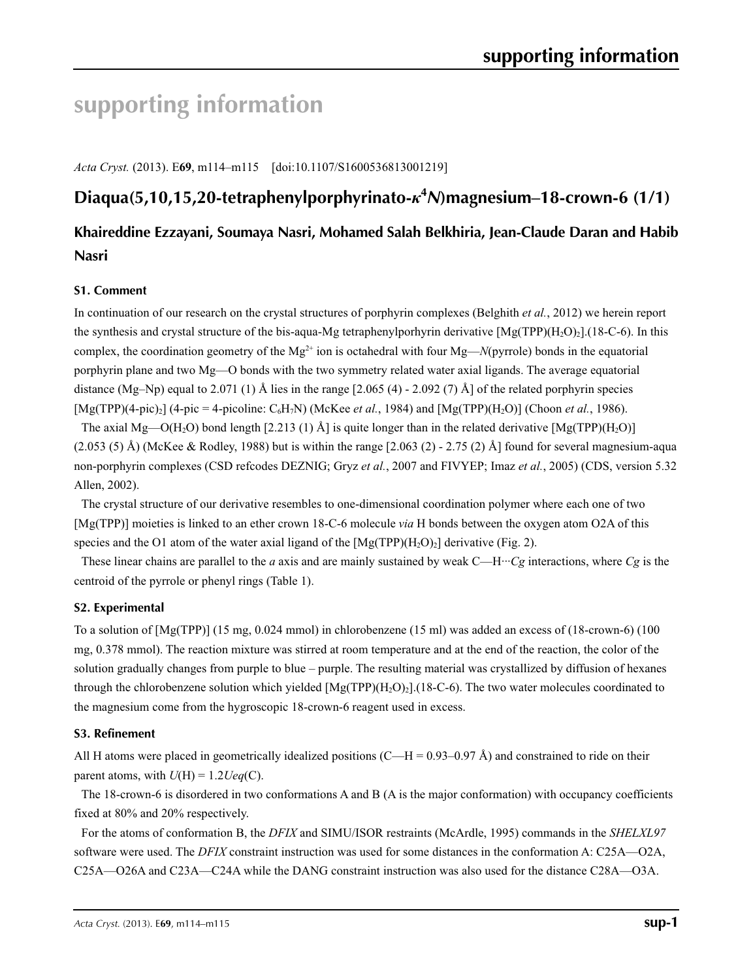# **supporting information**

*Acta Cryst.* (2013). E**69**, m114–m115 [doi:10.1107/S1600536813001219]

# **Diaqua(5,10,15,20-tetraphenylporphyrinato-***κ***<sup>4</sup>** *N***)magnesium–18-crown-6 (1/1)**

# **Khaireddine Ezzayani, Soumaya Nasri, Mohamed Salah Belkhiria, Jean-Claude Daran and Habib Nasri**

# **S1. Comment**

In continuation of our research on the crystal structures of porphyrin complexes (Belghith *et al.*, 2012) we herein report the synthesis and crystal structure of the bis-aqua-Mg tetraphenylporhyrin derivative  $[Mg(TPP)(H_2O)_2]$ .(18-C-6). In this complex, the coordination geometry of the  $Mg^{2+}$  ion is octahedral with four  $Mg$ —*N*(pyrrole) bonds in the equatorial porphyrin plane and two Mg—O bonds with the two symmetry related water axial ligands. The average equatorial distance (Mg–Np) equal to 2.071 (1) Å lies in the range  $[2.065 (4) - 2.092 (7)$  Å] of the related porphyrin species  $[Mg(TPP)(4-pic)_2]$  (4-pic = 4-picoline:  $C_6H_7N$ ) (McKee *et al.*, 1984) and  $[Mg(TPP)(H_2O)]$  (Choon *et al.*, 1986).

The axial Mg—O(H<sub>2</sub>O) bond length [2.213 (1) Å] is quite longer than in the related derivative [Mg(TPP)(H<sub>2</sub>O)]  $(2.053\text{ } (5)$  Å) (McKee & Rodley, 1988) but is within the range  $[2.063\text{ } (2)$  - 2.75 (2) Å] found for several magnesium-aqua non-porphyrin complexes (CSD refcodes DEZNIG; Gryz *et al.*, 2007 and FIVYEP; Imaz *et al.*, 2005) (CDS, version 5.32 Allen, 2002).

The crystal structure of our derivative resembles to one-dimensional coordination polymer where each one of two [Mg(TPP)] moieties is linked to an ether crown 18-C-6 molecule *via* H bonds between the oxygen atom O2A of this species and the O1 atom of the water axial ligand of the  $[Mg(TPP)(H_2O)_2]$  derivative (Fig. 2).

These linear chains are parallel to the *a* axis and are mainly sustained by weak  $C-H \cdots Cg$  interactions, where  $Cg$  is the centroid of the pyrrole or phenyl rings (Table 1).

## **S2. Experimental**

To a solution of [Mg(TPP)] (15 mg, 0.024 mmol) in chlorobenzene (15 ml) was added an excess of (18-crown-6) (100 mg, 0.378 mmol). The reaction mixture was stirred at room temperature and at the end of the reaction, the color of the solution gradually changes from purple to blue – purple. The resulting material was crystallized by diffusion of hexanes through the chlorobenzene solution which yielded  $[Mg(TPP)(H_2O)_2]$ . (18-C-6). The two water molecules coordinated to the magnesium come from the hygroscopic 18-crown-6 reagent used in excess.

## **S3. Refinement**

All H atoms were placed in geometrically idealized positions (C—H = 0.93–0.97 Å) and constrained to ride on their parent atoms, with  $U(H) = 1.2 \text{Ueq}(C)$ .

The 18-crown-6 is disordered in two conformations A and B (A is the major conformation) with occupancy coefficients fixed at 80% and 20% respectively.

For the atoms of conformation B, the *DFIX* and SIMU/ISOR restraints (McArdle, 1995) commands in the *SHELXL97* software were used. The *DFIX* constraint instruction was used for some distances in the conformation A: C25A—O2A, C25A—O26A and C23A—C24A while the DANG constraint instruction was also used for the distance C28A—O3A.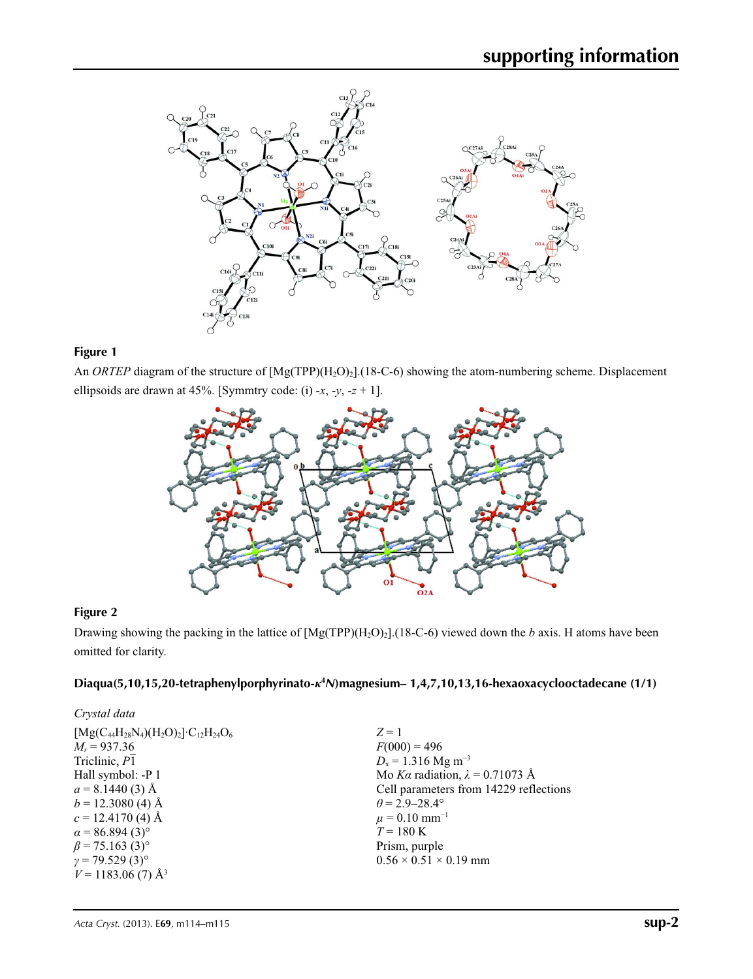

# **Figure 1**

An *ORTEP* diagram of the structure of  $[Mg(TPP)(H_2O)_2]$ .(18-C-6) showing the atom-numbering scheme. Displacement ellipsoids are drawn at 45%. [Symmtry code: (i) -*x*, -*y*, -*z* + 1].



# **Figure 2**

Drawing showing the packing in the lattice of [Mg(TPP)(H2O)2].(18-C-6) viewed down the *b* axis. H atoms have been omitted for clarity.

# **Diaqua(5,10,15,20-tetraphenylporphyrinato-***κ***<sup>4</sup>** *N***)magnesium– 1,4,7,10,13,16-hexaoxacyclooctadecane (1/1)**

| Crystal data                                          |                                        |
|-------------------------------------------------------|----------------------------------------|
| $[Mg(C_{44}H_{28}N_4)(H_2O)_2] \cdot C_{12}H_{24}O_6$ | $Z=1$                                  |
| $M_r = 937.36$                                        | $F(000) = 496$                         |
| Triclinic, P1                                         | $D_x = 1.316$ Mg m <sup>-3</sup>       |
| Hall symbol: -P 1                                     | Mo Ka radiation, $\lambda = 0.71073$ Å |
| $a = 8.1440(3)$ Å                                     | Cell parameters from 14229 reflections |
| $b = 12.3080$ (4) Å                                   | $\theta$ = 2.9–28.4°                   |
| $c = 12.4170(4)$ Å                                    | $\mu$ = 0.10 mm <sup>-1</sup>          |
| $\alpha$ = 86.894 (3) <sup>o</sup>                    | $T = 180 \text{ K}$                    |
| $\beta$ = 75.163 (3) <sup>o</sup>                     | Prism, purple                          |
| $\gamma$ = 79.529 (3) <sup>o</sup>                    | $0.56 \times 0.51 \times 0.19$ mm      |
| $V = 1183.06$ (7) Å <sup>3</sup>                      |                                        |
|                                                       |                                        |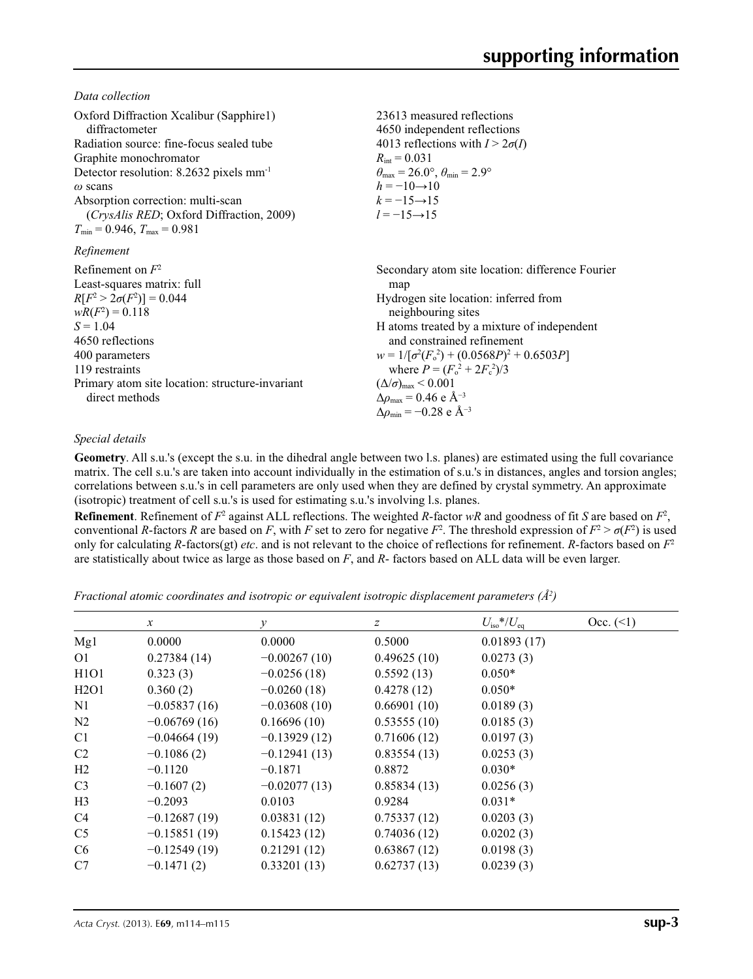*Data collection*

| Oxford Diffraction Xcalibur (Sapphire1)<br>diffractometer<br>Radiation source: fine-focus sealed tube<br>Graphite monochromator<br>Detector resolution: 8.2632 pixels mm <sup>-1</sup><br>$\omega$ scans<br>Absorption correction: multi-scan<br>(CrysAlis RED; Oxford Diffraction, 2009)<br>$T_{\min} = 0.946$ , $T_{\max} = 0.981$ | 23613 measured reflections<br>4650 independent reflections<br>4013 reflections with $I > 2\sigma(I)$<br>$R_{\text{int}} = 0.031$<br>$\theta_{\text{max}} = 26.0^{\circ}, \theta_{\text{min}} = 2.9^{\circ}$<br>$h = -10 \rightarrow 10$<br>$k = -15 \rightarrow 15$<br>$l = -15 \rightarrow 15$                                                                                                                                                |
|--------------------------------------------------------------------------------------------------------------------------------------------------------------------------------------------------------------------------------------------------------------------------------------------------------------------------------------|------------------------------------------------------------------------------------------------------------------------------------------------------------------------------------------------------------------------------------------------------------------------------------------------------------------------------------------------------------------------------------------------------------------------------------------------|
| Refinement                                                                                                                                                                                                                                                                                                                           |                                                                                                                                                                                                                                                                                                                                                                                                                                                |
| Refinement on $F^2$<br>Least-squares matrix: full<br>$R[F^2 > 2\sigma(F^2)] = 0.044$<br>$wR(F^2) = 0.118$<br>$S = 1.04$<br>4650 reflections<br>400 parameters<br>119 restraints<br>Primary atom site location: structure-invariant<br>direct methods                                                                                 | Secondary atom site location: difference Fourier<br>map<br>Hydrogen site location: inferred from<br>neighbouring sites<br>H atoms treated by a mixture of independent<br>and constrained refinement<br>$w = 1/[\sigma^2(F_0^2) + (0.0568P)^2 + 0.6503P]$<br>where $P = (F_o^2 + 2F_c^2)/3$<br>$(\Delta/\sigma)_{\text{max}}$ < 0.001<br>$\Delta\rho_{\text{max}}$ = 0.46 e Å <sup>-3</sup><br>$\Delta\rho_{\rm min} = -0.28$ e Å <sup>-3</sup> |

# *Special details*

**Geometry**. All s.u.'s (except the s.u. in the dihedral angle between two l.s. planes) are estimated using the full covariance matrix. The cell s.u.'s are taken into account individually in the estimation of s.u.'s in distances, angles and torsion angles; correlations between s.u.'s in cell parameters are only used when they are defined by crystal symmetry. An approximate (isotropic) treatment of cell s.u.'s is used for estimating s.u.'s involving l.s. planes.

**Refinement**. Refinement of  $F^2$  against ALL reflections. The weighted  $R$ -factor  $wR$  and goodness of fit  $S$  are based on  $F^2$ , conventional *R*-factors *R* are based on *F*, with *F* set to zero for negative  $F^2$ . The threshold expression of  $F^2 > \sigma(F^2)$  is used only for calculating *R*-factors(gt) *etc*. and is not relevant to the choice of reflections for refinement. *R*-factors based on *F*<sup>2</sup> are statistically about twice as large as those based on *F*, and *R*- factors based on ALL data will be even larger.

*Fractional atomic coordinates and isotropic or equivalent isotropic displacement parameters (Å2 )*

|                               | $\mathcal{X}$  | v              | z           | $U_{\rm iso}*/U_{\rm eq}$ | Occ. (2) |
|-------------------------------|----------------|----------------|-------------|---------------------------|----------|
| Mg1                           | 0.0000         | 0.0000         | 0.5000      | 0.01893(17)               |          |
| 01                            | 0.27384(14)    | $-0.00267(10)$ | 0.49625(10) | 0.0273(3)                 |          |
| H <sub>1</sub> O <sub>1</sub> | 0.323(3)       | $-0.0256(18)$  | 0.5592(13)  | $0.050*$                  |          |
| H2O1                          | 0.360(2)       | $-0.0260(18)$  | 0.4278(12)  | $0.050*$                  |          |
| N1                            | $-0.05837(16)$ | $-0.03608(10)$ | 0.66901(10) | 0.0189(3)                 |          |
| N <sub>2</sub>                | $-0.06769(16)$ | 0.16696(10)    | 0.53555(10) | 0.0185(3)                 |          |
| C <sub>1</sub>                | $-0.04664(19)$ | $-0.13929(12)$ | 0.71606(12) | 0.0197(3)                 |          |
| C <sub>2</sub>                | $-0.1086(2)$   | $-0.12941(13)$ | 0.83554(13) | 0.0253(3)                 |          |
| H2                            | $-0.1120$      | $-0.1871$      | 0.8872      | $0.030*$                  |          |
| C <sub>3</sub>                | $-0.1607(2)$   | $-0.02077(13)$ | 0.85834(13) | 0.0256(3)                 |          |
| H <sub>3</sub>                | $-0.2093$      | 0.0103         | 0.9284      | $0.031*$                  |          |
| C4                            | $-0.12687(19)$ | 0.03831(12)    | 0.75337(12) | 0.0203(3)                 |          |
| C <sub>5</sub>                | $-0.15851(19)$ | 0.15423(12)    | 0.74036(12) | 0.0202(3)                 |          |
| C <sub>6</sub>                | $-0.12549(19)$ | 0.21291(12)    | 0.63867(12) | 0.0198(3)                 |          |
| C7                            | $-0.1471(2)$   | 0.33201(13)    | 0.62737(13) | 0.0239(3)                 |          |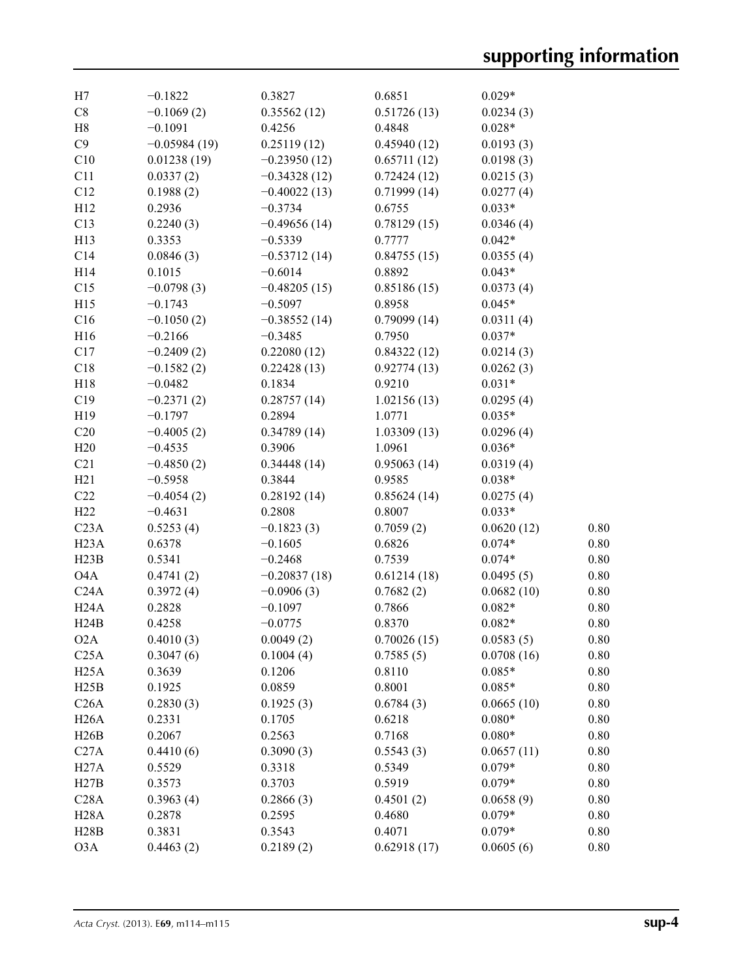| H7               | $-0.1822$      | 0.3827         | 0.6851      | $0.029*$   |          |
|------------------|----------------|----------------|-------------|------------|----------|
| $\rm{C}8$        | $-0.1069(2)$   | 0.35562(12)    | 0.51726(13) | 0.0234(3)  |          |
| H8               | $-0.1091$      | 0.4256         | 0.4848      | $0.028*$   |          |
| C9               | $-0.05984(19)$ | 0.25119(12)    | 0.45940(12) | 0.0193(3)  |          |
| C10              | 0.01238(19)    | $-0.23950(12)$ | 0.65711(12) | 0.0198(3)  |          |
| C11              | 0.0337(2)      | $-0.34328(12)$ | 0.72424(12) | 0.0215(3)  |          |
| C12              | 0.1988(2)      | $-0.40022(13)$ | 0.71999(14) | 0.0277(4)  |          |
| H12              | 0.2936         | $-0.3734$      | 0.6755      | $0.033*$   |          |
| C13              | 0.2240(3)      | $-0.49656(14)$ | 0.78129(15) | 0.0346(4)  |          |
| H13              | 0.3353         | $-0.5339$      | 0.7777      | $0.042*$   |          |
| C14              | 0.0846(3)      | $-0.53712(14)$ | 0.84755(15) | 0.0355(4)  |          |
| H14              | 0.1015         | $-0.6014$      | 0.8892      | $0.043*$   |          |
| C15              | $-0.0798(3)$   | $-0.48205(15)$ | 0.85186(15) | 0.0373(4)  |          |
| H15              | $-0.1743$      | $-0.5097$      | 0.8958      | $0.045*$   |          |
| C16              | $-0.1050(2)$   | $-0.38552(14)$ | 0.79099(14) | 0.0311(4)  |          |
| H16              | $-0.2166$      | $-0.3485$      | 0.7950      | $0.037*$   |          |
| C17              | $-0.2409(2)$   | 0.22080(12)    | 0.84322(12) | 0.0214(3)  |          |
| C18              | $-0.1582(2)$   | 0.22428(13)    | 0.92774(13) | 0.0262(3)  |          |
| H18              | $-0.0482$      | 0.1834         | 0.9210      | $0.031*$   |          |
| C19              | $-0.2371(2)$   | 0.28757(14)    | 1.02156(13) | 0.0295(4)  |          |
| H <sub>19</sub>  | $-0.1797$      | 0.2894         | 1.0771      | $0.035*$   |          |
| C20              | $-0.4005(2)$   | 0.34789(14)    | 1.03309(13) | 0.0296(4)  |          |
| H20              | $-0.4535$      | 0.3906         | 1.0961      | $0.036*$   |          |
|                  |                |                |             |            |          |
| C21              | $-0.4850(2)$   | 0.34448(14)    | 0.95063(14) | 0.0319(4)  |          |
| H21              | $-0.5958$      | 0.3844         | 0.9585      | $0.038*$   |          |
| C22              | $-0.4054(2)$   | 0.28192(14)    | 0.85624(14) | 0.0275(4)  |          |
| H22              | $-0.4631$      | 0.2808         | 0.8007      | $0.033*$   |          |
| C <sub>23A</sub> | 0.5253(4)      | $-0.1823(3)$   | 0.7059(2)   | 0.0620(12) | 0.80     |
| H23A             | 0.6378         | $-0.1605$      | 0.6826      | $0.074*$   | 0.80     |
| H23B             | 0.5341         | $-0.2468$      | 0.7539      | $0.074*$   | 0.80     |
| O <sub>4</sub> A | 0.4741(2)      | $-0.20837(18)$ | 0.61214(18) | 0.0495(5)  | 0.80     |
| C24A             | 0.3972(4)      | $-0.0906(3)$   | 0.7682(2)   | 0.0682(10) | 0.80     |
| H24A             | 0.2828         | $-0.1097$      | 0.7866      | $0.082*$   | 0.80     |
| H24B             | 0.4258         | $-0.0775$      | 0.8370      | $0.082*$   | 0.80     |
| O <sub>2</sub> A | 0.4010(3)      | 0.0049(2)      | 0.70026(15) | 0.0583(5)  | 0.80     |
| C <sub>25A</sub> | 0.3047(6)      | 0.1004(4)      | 0.7585(5)   | 0.0708(16) | 0.80     |
| H25A             | 0.3639         | 0.1206         | 0.8110      | $0.085*$   | 0.80     |
| H25B             | 0.1925         | 0.0859         | 0.8001      | $0.085*$   | 0.80     |
| C26A             | 0.2830(3)      | 0.1925(3)      | 0.6784(3)   | 0.0665(10) | 0.80     |
| H26A             | 0.2331         | 0.1705         | 0.6218      | $0.080*$   | 0.80     |
| H26B             | 0.2067         | 0.2563         | 0.7168      | $0.080*$   | 0.80     |
| C27A             | 0.4410(6)      | 0.3090(3)      | 0.5543(3)   | 0.0657(11) | 0.80     |
| H27A             | 0.5529         | 0.3318         | 0.5349      | $0.079*$   | 0.80     |
| H27B             | 0.3573         | 0.3703         | 0.5919      | $0.079*$   | 0.80     |
| C28A             | 0.3963(4)      | 0.2866(3)      | 0.4501(2)   | 0.0658(9)  | 0.80     |
| H28A             | 0.2878         | 0.2595         | 0.4680      | $0.079*$   | 0.80     |
| H28B             | 0.3831         | 0.3543         | 0.4071      | $0.079*$   | 0.80     |
| O3A              | 0.4463(2)      | 0.2189(2)      | 0.62918(17) | 0.0605(6)  | $0.80\,$ |
|                  |                |                |             |            |          |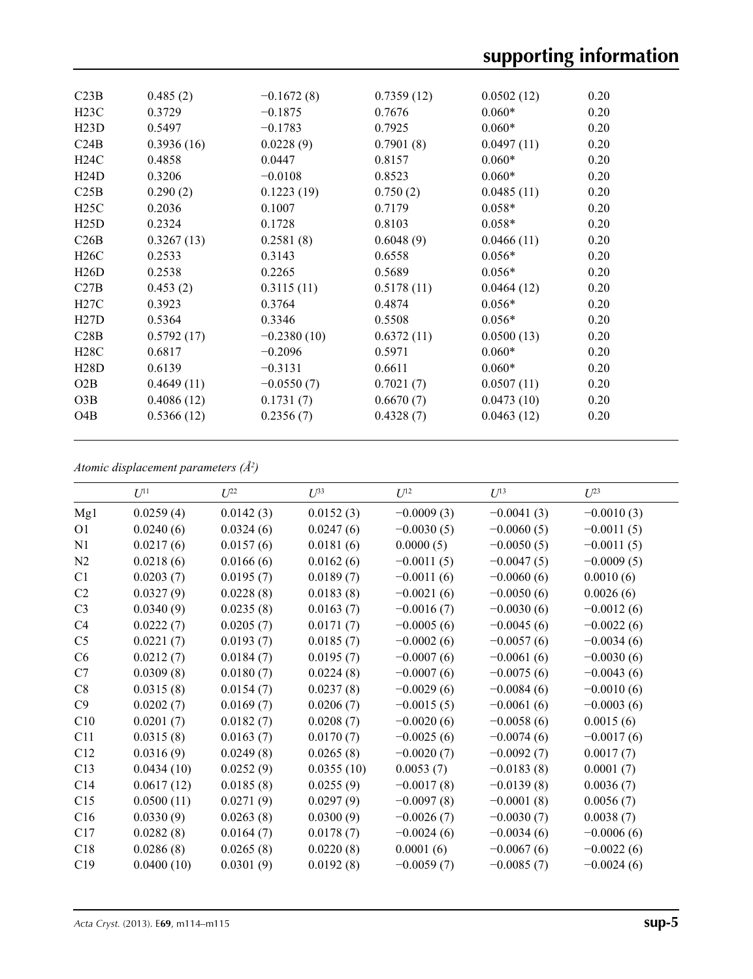| C23B             | 0.485(2)   | $-0.1672(8)$  | 0.7359(12) | 0.0502(12) | 0.20 |
|------------------|------------|---------------|------------|------------|------|
| H23C             | 0.3729     | $-0.1875$     | 0.7676     | $0.060*$   | 0.20 |
| H23D             | 0.5497     | $-0.1783$     | 0.7925     | $0.060*$   | 0.20 |
| C24B             | 0.3936(16) | 0.0228(9)     | 0.7901(8)  | 0.0497(11) | 0.20 |
| H24C             | 0.4858     | 0.0447        | 0.8157     | $0.060*$   | 0.20 |
| H24D             | 0.3206     | $-0.0108$     | 0.8523     | $0.060*$   | 0.20 |
| C25B             | 0.290(2)   | 0.1223(19)    | 0.750(2)   | 0.0485(11) | 0.20 |
| H25C             | 0.2036     | 0.1007        | 0.7179     | $0.058*$   | 0.20 |
| H25D             | 0.2324     | 0.1728        | 0.8103     | $0.058*$   | 0.20 |
| C26B             | 0.3267(13) | 0.2581(8)     | 0.6048(9)  | 0.0466(11) | 0.20 |
| H26C             | 0.2533     | 0.3143        | 0.6558     | $0.056*$   | 0.20 |
| H26D             | 0.2538     | 0.2265        | 0.5689     | $0.056*$   | 0.20 |
| C27B             | 0.453(2)   | 0.3115(11)    | 0.5178(11) | 0.0464(12) | 0.20 |
| H27C             | 0.3923     | 0.3764        | 0.4874     | $0.056*$   | 0.20 |
| H27D             | 0.5364     | 0.3346        | 0.5508     | $0.056*$   | 0.20 |
| C28B             | 0.5792(17) | $-0.2380(10)$ | 0.6372(11) | 0.0500(13) | 0.20 |
| H28C             | 0.6817     | $-0.2096$     | 0.5971     | $0.060*$   | 0.20 |
| H28D             | 0.6139     | $-0.3131$     | 0.6611     | $0.060*$   | 0.20 |
| O2B              | 0.4649(11) | $-0.0550(7)$  | 0.7021(7)  | 0.0507(11) | 0.20 |
| O3B              | 0.4086(12) | 0.1731(7)     | 0.6670(7)  | 0.0473(10) | 0.20 |
| O <sub>4</sub> B | 0.5366(12) | 0.2356(7)     | 0.4328(7)  | 0.0463(12) | 0.20 |
|                  |            |               |            |            |      |

*Atomic displacement parameters (Å2 )*

|                | $U^{11}$   | $U^{22}$  | $U^{33}$   | $U^{12}$     | $U^{13}$     | $U^{23}$     |
|----------------|------------|-----------|------------|--------------|--------------|--------------|
| Mg1            | 0.0259(4)  | 0.0142(3) | 0.0152(3)  | $-0.0009(3)$ | $-0.0041(3)$ | $-0.0010(3)$ |
| O <sub>1</sub> | 0.0240(6)  | 0.0324(6) | 0.0247(6)  | $-0.0030(5)$ | $-0.0060(5)$ | $-0.0011(5)$ |
| N1             | 0.0217(6)  | 0.0157(6) | 0.0181(6)  | 0.0000(5)    | $-0.0050(5)$ | $-0.0011(5)$ |
| N2             | 0.0218(6)  | 0.0166(6) | 0.0162(6)  | $-0.0011(5)$ | $-0.0047(5)$ | $-0.0009(5)$ |
| C <sub>1</sub> | 0.0203(7)  | 0.0195(7) | 0.0189(7)  | $-0.0011(6)$ | $-0.0060(6)$ | 0.0010(6)    |
| C <sub>2</sub> | 0.0327(9)  | 0.0228(8) | 0.0183(8)  | $-0.0021(6)$ | $-0.0050(6)$ | 0.0026(6)    |
| C <sub>3</sub> | 0.0340(9)  | 0.0235(8) | 0.0163(7)  | $-0.0016(7)$ | $-0.0030(6)$ | $-0.0012(6)$ |
| C4             | 0.0222(7)  | 0.0205(7) | 0.0171(7)  | $-0.0005(6)$ | $-0.0045(6)$ | $-0.0022(6)$ |
| C <sub>5</sub> | 0.0221(7)  | 0.0193(7) | 0.0185(7)  | $-0.0002(6)$ | $-0.0057(6)$ | $-0.0034(6)$ |
| C6             | 0.0212(7)  | 0.0184(7) | 0.0195(7)  | $-0.0007(6)$ | $-0.0061(6)$ | $-0.0030(6)$ |
| C7             | 0.0309(8)  | 0.0180(7) | 0.0224(8)  | $-0.0007(6)$ | $-0.0075(6)$ | $-0.0043(6)$ |
| C8             | 0.0315(8)  | 0.0154(7) | 0.0237(8)  | $-0.0029(6)$ | $-0.0084(6)$ | $-0.0010(6)$ |
| C9             | 0.0202(7)  | 0.0169(7) | 0.0206(7)  | $-0.0015(5)$ | $-0.0061(6)$ | $-0.0003(6)$ |
| C10            | 0.0201(7)  | 0.0182(7) | 0.0208(7)  | $-0.0020(6)$ | $-0.0058(6)$ | 0.0015(6)    |
| C11            | 0.0315(8)  | 0.0163(7) | 0.0170(7)  | $-0.0025(6)$ | $-0.0074(6)$ | $-0.0017(6)$ |
| C12            | 0.0316(9)  | 0.0249(8) | 0.0265(8)  | $-0.0020(7)$ | $-0.0092(7)$ | 0.0017(7)    |
| C13            | 0.0434(10) | 0.0252(9) | 0.0355(10) | 0.0053(7)    | $-0.0183(8)$ | 0.0001(7)    |
| C14            | 0.0617(12) | 0.0185(8) | 0.0255(9)  | $-0.0017(8)$ | $-0.0139(8)$ | 0.0036(7)    |
| C15            | 0.0500(11) | 0.0271(9) | 0.0297(9)  | $-0.0097(8)$ | $-0.0001(8)$ | 0.0056(7)    |
| C16            | 0.0330(9)  | 0.0263(8) | 0.0300(9)  | $-0.0026(7)$ | $-0.0030(7)$ | 0.0038(7)    |
| C17            | 0.0282(8)  | 0.0164(7) | 0.0178(7)  | $-0.0024(6)$ | $-0.0034(6)$ | $-0.0006(6)$ |
| C18            | 0.0286(8)  | 0.0265(8) | 0.0220(8)  | 0.0001(6)    | $-0.0067(6)$ | $-0.0022(6)$ |
| C19            | 0.0400(10) | 0.0301(9) | 0.0192(8)  | $-0.0059(7)$ | $-0.0085(7)$ | $-0.0024(6)$ |
|                |            |           |            |              |              |              |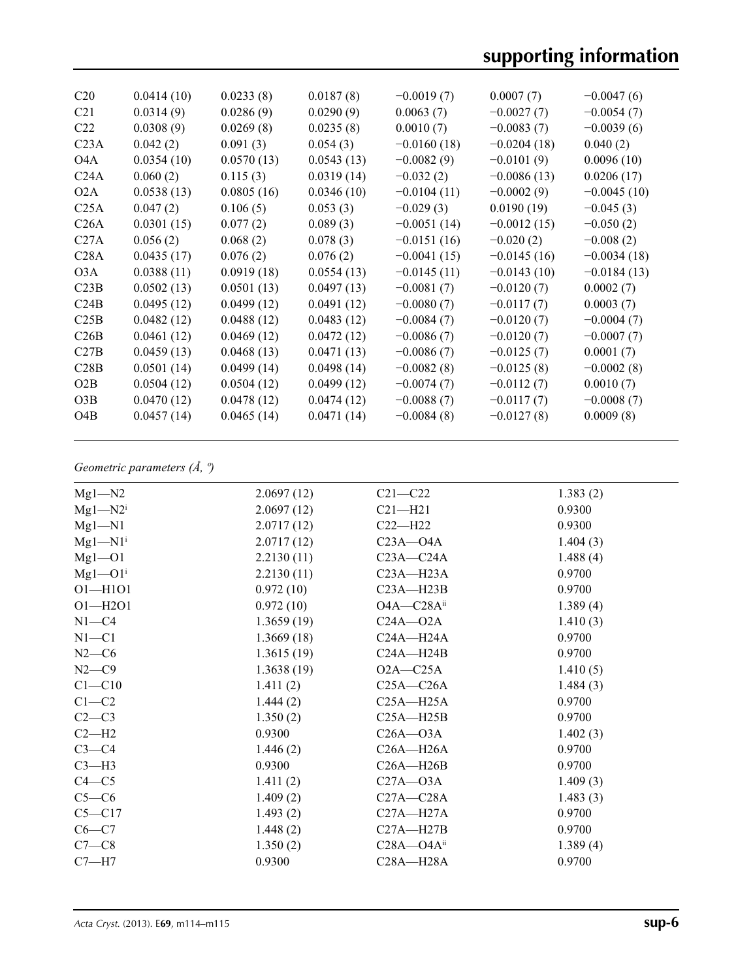| C <sub>20</sub>  | 0.0414(10) | 0.0233(8)  | 0.0187(8)  | $-0.0019(7)$  | 0.0007(7)     | $-0.0047(6)$  |
|------------------|------------|------------|------------|---------------|---------------|---------------|
| C <sub>21</sub>  | 0.0314(9)  | 0.0286(9)  | 0.0290(9)  | 0.0063(7)     | $-0.0027(7)$  | $-0.0054(7)$  |
| C <sub>22</sub>  | 0.0308(9)  | 0.0269(8)  | 0.0235(8)  | 0.0010(7)     | $-0.0083(7)$  | $-0.0039(6)$  |
| C <sub>23A</sub> | 0.042(2)   | 0.091(3)   | 0.054(3)   | $-0.0160(18)$ | $-0.0204(18)$ | 0.040(2)      |
| O <sub>4</sub> A | 0.0354(10) | 0.0570(13) | 0.0543(13) | $-0.0082(9)$  | $-0.0101(9)$  | 0.0096(10)    |
| C <sub>24A</sub> | 0.060(2)   | 0.115(3)   | 0.0319(14) | $-0.032(2)$   | $-0.0086(13)$ | 0.0206(17)    |
| O <sub>2</sub> A | 0.0538(13) | 0.0805(16) | 0.0346(10) | $-0.0104(11)$ | $-0.0002(9)$  | $-0.0045(10)$ |
| C <sub>25A</sub> | 0.047(2)   | 0.106(5)   | 0.053(3)   | $-0.029(3)$   | 0.0190(19)    | $-0.045(3)$   |
| C26A             | 0.0301(15) | 0.077(2)   | 0.089(3)   | $-0.0051(14)$ | $-0.0012(15)$ | $-0.050(2)$   |
| C <sub>27A</sub> | 0.056(2)   | 0.068(2)   | 0.078(3)   | $-0.0151(16)$ | $-0.020(2)$   | $-0.008(2)$   |
| C28A             | 0.0435(17) | 0.076(2)   | 0.076(2)   | $-0.0041(15)$ | $-0.0145(16)$ | $-0.0034(18)$ |
| O3A              | 0.0388(11) | 0.0919(18) | 0.0554(13) | $-0.0145(11)$ | $-0.0143(10)$ | $-0.0184(13)$ |
| C23B             | 0.0502(13) | 0.0501(13) | 0.0497(13) | $-0.0081(7)$  | $-0.0120(7)$  | 0.0002(7)     |
| C24B             | 0.0495(12) | 0.0499(12) | 0.0491(12) | $-0.0080(7)$  | $-0.0117(7)$  | 0.0003(7)     |
|                  |            |            |            |               |               |               |
| C25B             | 0.0482(12) | 0.0488(12) | 0.0483(12) | $-0.0084(7)$  | $-0.0120(7)$  | $-0.0004(7)$  |
| C26B             | 0.0461(12) | 0.0469(12) | 0.0472(12) | $-0.0086(7)$  | $-0.0120(7)$  | $-0.0007(7)$  |
| C27B             | 0.0459(13) | 0.0468(13) | 0.0471(13) | $-0.0086(7)$  | $-0.0125(7)$  | 0.0001(7)     |
| C28B             | 0.0501(14) | 0.0499(14) | 0.0498(14) | $-0.0082(8)$  | $-0.0125(8)$  | $-0.0002(8)$  |
| O2B              | 0.0504(12) | 0.0504(12) | 0.0499(12) | $-0.0074(7)$  | $-0.0112(7)$  | 0.0010(7)     |
| O3B              | 0.0470(12) | 0.0478(12) | 0.0474(12) | $-0.0088(7)$  | $-0.0117(7)$  | $-0.0008(7)$  |
| O <sub>4</sub> B | 0.0457(14) | 0.0465(14) | 0.0471(14) | $-0.0084(8)$  | $-0.0127(8)$  | 0.0009(8)     |
|                  |            |            |            |               |               |               |

# *Geometric parameters (Å, º)*

| $Mgl-M2$                  | 2.0697(12) | $C21 - C22$                | 1.383(2) |
|---------------------------|------------|----------------------------|----------|
| $Mg1 - N2$ <sup>i</sup>   | 2.0697(12) | $C21 - H21$                | 0.9300   |
| $Mgl-M1$                  | 2.0717(12) | $C22-H22$                  | 0.9300   |
| $Mgl-M1$ <sup>i</sup>     | 2.0717(12) | $C23A - O4A$               | 1.404(3) |
| $Mgl$ – $O1$              | 2.2130(11) | $C23A - C24A$              | 1.488(4) |
| $Mgl$ – $O1$ <sup>i</sup> | 2.2130(11) | $C23A - H23A$              | 0.9700   |
| $O1 - H1O1$               | 0.972(10)  | $C23A - H23B$              | 0.9700   |
| $O1 - H2O1$               | 0.972(10)  | O4A-C28Aii                 | 1.389(4) |
| $N1 - C4$                 | 1.3659(19) | $C24A - 02A$               | 1.410(3) |
| $N1 - C1$                 | 1.3669(18) | $C24A - H24A$              | 0.9700   |
| $N2-C6$                   | 1.3615(19) | $C24A - H24B$              | 0.9700   |
| $N2-C9$                   | 1.3638(19) | $O2A - C25A$               | 1.410(5) |
| $C1 - C10$                | 1.411(2)   | $C25A - C26A$              | 1.484(3) |
| $C1 - C2$                 | 1.444(2)   | $C25A - H25A$              | 0.9700   |
| $C2-C3$                   | 1.350(2)   | $C25A - H25B$              | 0.9700   |
| $C2-H2$                   | 0.9300     | $C26A - O3A$               | 1.402(3) |
| $C3-C4$                   | 1.446(2)   | $C26A - H26A$              | 0.9700   |
| $C3-H3$                   | 0.9300     | $C26A - H26B$              | 0.9700   |
| $C4 - C5$                 | 1.411(2)   | $C27A - 03A$               | 1.409(3) |
| $C5-C6$                   | 1.409(2)   | $C27A - C28A$              | 1.483(3) |
| $C5 - C17$                | 1.493(2)   | $C27A - H27A$              | 0.9700   |
| $C6 - C7$                 | 1.448(2)   | $C27A - H27B$              | 0.9700   |
| $C7-C8$                   | 1.350(2)   | $C28A - O4A$ <sup>ii</sup> | 1.389(4) |
| $C7 - H7$                 | 0.9300     | $C28A - H28A$              | 0.9700   |
|                           |            |                            |          |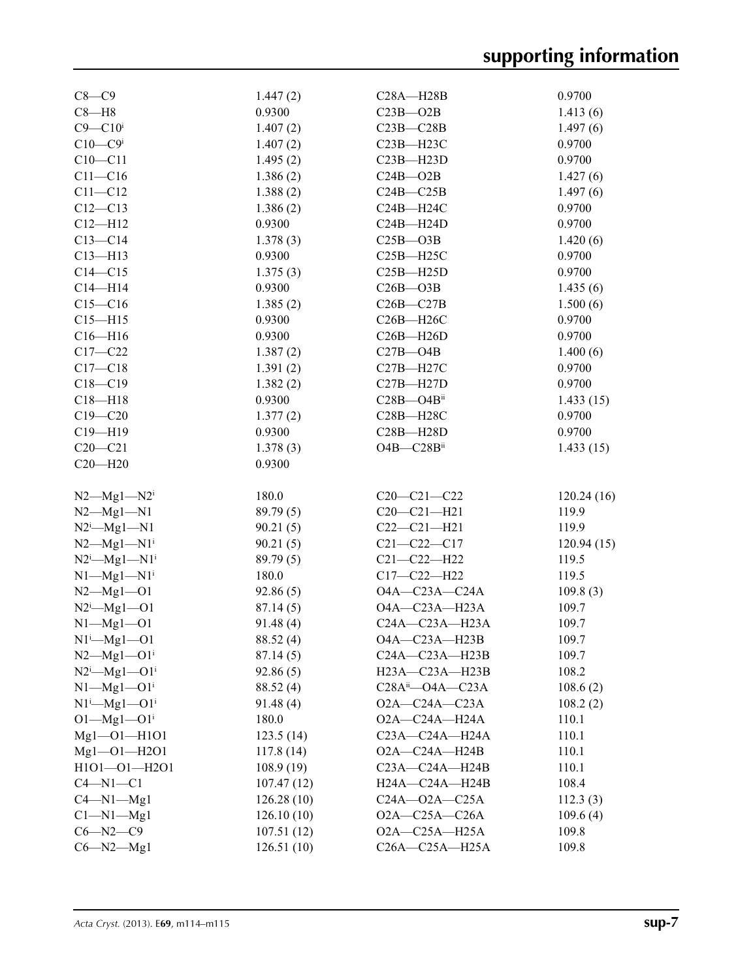| $C8-C9$                          | 1.447(2)   | $C28A - H28B$              | 0.9700     |
|----------------------------------|------------|----------------------------|------------|
| $C8 - H8$                        | 0.9300     | $C23B - O2B$               | 1.413(6)   |
| $C9 - C10$ i                     | 1.407(2)   | $C23B - C28B$              | 1.497(6)   |
| $C10-C9i$                        | 1.407(2)   | $C23B - H23C$              | 0.9700     |
| $C10 - C11$                      | 1.495(2)   | $C23B - H23D$              | 0.9700     |
| $C11-C16$                        | 1.386(2)   | $C24B - O2B$               | 1.427(6)   |
| $C11 - C12$                      | 1.388(2)   | $C24B - C25B$              | 1.497(6)   |
| $C12 - C13$                      | 1.386(2)   | $C24B - H24C$              | 0.9700     |
| $C12 - H12$                      | 0.9300     | $C24B - H24D$              | 0.9700     |
| $C13 - C14$                      | 1.378(3)   | $C25B - O3B$               | 1.420(6)   |
| $C13 - H13$                      | 0.9300     | $C25B - H25C$              | 0.9700     |
| $C14 - C15$                      | 1.375(3)   | $C25B - H25D$              | 0.9700     |
| $C14 - H14$                      | 0.9300     | $C26B - O3B$               | 1.435(6)   |
| $C15 - C16$                      | 1.385(2)   | $C26B - C27B$              | 1.500(6)   |
| $C15 - H15$                      |            |                            |            |
|                                  | 0.9300     | $C26B - H26C$              | 0.9700     |
| $C16 - H16$                      | 0.9300     | $C26B - H26D$              | 0.9700     |
| $C17-C22$                        | 1.387(2)   | $C27B - O4B$               | 1.400(6)   |
| $C17 - C18$                      | 1.391(2)   | C27B-H27C                  | 0.9700     |
| $C18 - C19$                      | 1.382(2)   | $C27B - H27D$              | 0.9700     |
| $C18 - H18$                      | 0.9300     | $C28B - O4B$ <sup>ii</sup> | 1.433(15)  |
| $C19 - C20$                      | 1.377(2)   | $C28B - H28C$              | 0.9700     |
| $C19 - H19$                      | 0.9300     | $C28B - H28D$              | 0.9700     |
| $C20 - C21$                      | 1.378(3)   | O4B-C28Bii                 | 1.433(15)  |
| $C20 - H20$                      | 0.9300     |                            |            |
|                                  |            |                            |            |
| $N2$ — $Mg1$ — $N2$ <sup>i</sup> | 180.0      | $C20-C21-C22$              | 120.24(16) |
| $N2$ — $Mgl$ — $N1$              | 89.79(5)   | $C20-C21-H21$              | 119.9      |
| $N2^i$ - $Mg1$ - $N1$            | 90.21(5)   | $C22-C21-H21$              | 119.9      |
| $N2 - Mg1 - N1$ <sup>i</sup>     | 90.21(5)   | $C21 - C22 - C17$          | 120.94(15) |
| $N2^i$ — $Mgl$ — $N1^i$          | 89.79(5)   | $C21 - C22 - H22$          | 119.5      |
| $N1$ — $Mg1$ — $N1$ <sup>i</sup> | 180.0      | $C17 - C22 - H22$          | 119.5      |
| $N2 - Mg1 - O1$                  | 92.86(5)   | $O4A - C23A - C24A$        | 109.8(3)   |
| $N2^i$ - $Mg1$ - $O1$            | 87.14(5)   | O4A-C23A-H23A              | 109.7      |
| $N1 - Mg1 - O1$                  | 91.48(4)   | C24A-C23A-H23A             | 109.7      |
| $N1^i$ —Mg1—O1                   | 88.52 (4)  | O4A-C23A-H23B              | 109.7      |
| $N2 - Mg1 - O1$ <sup>i</sup>     | 87.14(5)   | C24A-C23A-H23B             | 109.7      |
| $N2^i$ —Mg1—O1 <sup>i</sup>      | 92.86(5)   | H23A-C23A-H23B             | 108.2      |
| $N1$ — $Mgl$ — $O1$ <sup>i</sup> | 88.52 (4)  | $C28A^{ii}$ $ O4A$ $ C23A$ | 108.6(2)   |
| $N1^i$ — $Mg1$ — $O1^i$          | 91.48(4)   | $O2A - C24A - C23A$        | 108.2(2)   |
| $O1 - Mg1 - O1$ <sup>i</sup>     | 180.0      | O2A-C24A-H24A              | 110.1      |
| Mg1-01-H101                      |            |                            |            |
|                                  | 123.5(14)  | $C23A - C24A - H24A$       | 110.1      |
| $Mgl$ -01-H2O1                   | 117.8(14)  | $O2A - C24A - H24B$        | 110.1      |
| $H1O1 - O1 - H2O1$               | 108.9(19)  | $C23A - C24A - H24B$       | 110.1      |
| $C4-M1-C1$                       | 107.47(12) | H24A-C24A-H24B             | 108.4      |
| $C4 - N1 - Mg1$                  | 126.28(10) | $C24A - 02A - C25A$        | 112.3(3)   |
| $Cl-M1-Mgl$                      | 126.10(10) | $O2A - C25A - C26A$        | 109.6(4)   |
| $C6 - N2 - C9$                   | 107.51(12) | $O2A - C25A - H25A$        | 109.8      |
| $C6 - N2 - Mg1$                  | 126.51(10) | C26A-C25A-H25A             | 109.8      |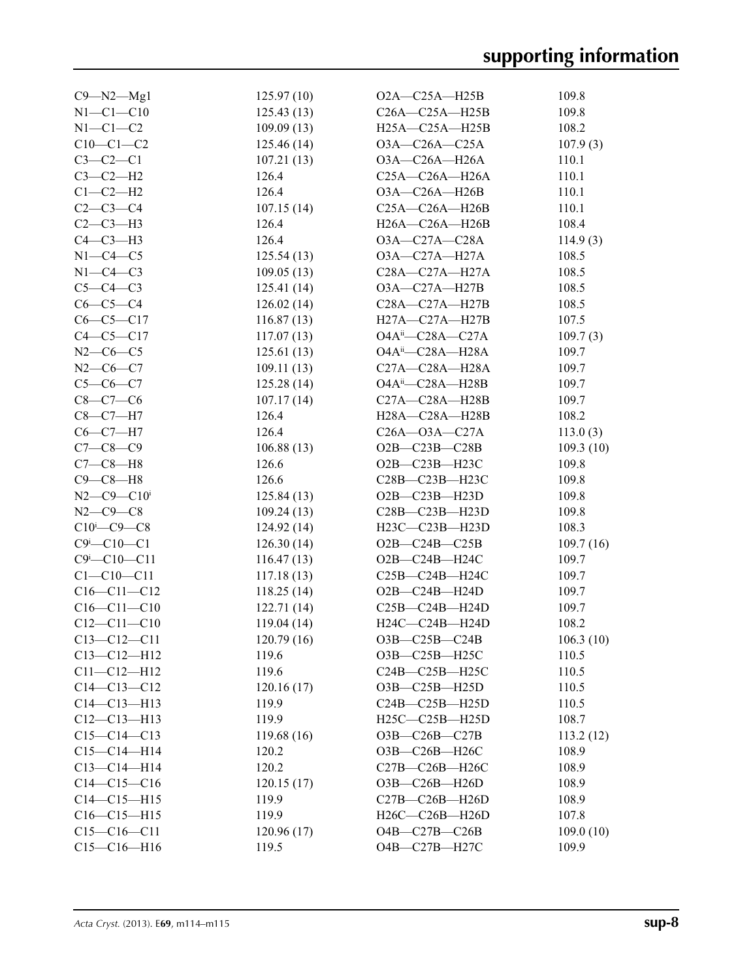| $C9 - N2 - Mg1$                   | 125.97(10) | $O2A - C25A - H25B$          | 109.8     |
|-----------------------------------|------------|------------------------------|-----------|
| $N1 - C1 - C10$                   | 125.43(13) | $C26A - C25A - H25B$         | 109.8     |
| $N1-C1-C2$                        | 109.09(13) | $H25A - C25A - H25B$         | 108.2     |
| $C10-C1-C2$                       | 125.46(14) | $O3A - C26A - C25A$          | 107.9(3)  |
| $C3-C2-C1$                        | 107.21(13) | $O3A - C26A - H26A$          | 110.1     |
| $C3-C2-H2$                        | 126.4      | $C25A - C26A - H26A$         | 110.1     |
| $C1-C2-H2$                        | 126.4      | $O3A-C26A-H26B$              | 110.1     |
| $C2 - C3 - C4$                    | 107.15(14) | $C25A - C26A - H26B$         | 110.1     |
| $C2-C3-H3$                        | 126.4      | H26A-C26A-H26B               | 108.4     |
| $C4-C3-H3$                        | 126.4      | $O3A-C27A-C28A$              | 114.9(3)  |
| $N1-C4-C5$                        | 125.54(13) | $O3A - C27A - H27A$          | 108.5     |
| $N1-C4-C3$                        | 109.05(13) | $C28A - C27A - H27A$         | 108.5     |
| $C5-C4-C3$                        | 125.41(14) | $O3A - C27A - H27B$          | 108.5     |
| $C6-C5-C4$                        | 126.02(14) | $C28A - C27A - H27B$         | 108.5     |
| $C6-C5-C17$                       | 116.87(13) | H27A—C27A—H27B               | 107.5     |
| $C4-C5-C17$                       | 117.07(13) | $O4A^{ii}$ - $C28A$ - $C27A$ | 109.7(3)  |
| $N2-C6-C5$                        | 125.61(13) | $O4A^{ii}$ - $C28A$ - $H28A$ | 109.7     |
| $N2-C6-C7$                        | 109.11(13) | $C27A - C28A - H28A$         | 109.7     |
| $C5 - C6 - C7$                    | 125.28(14) | $O4A^{ii}$ - $C28A$ - $H28B$ | 109.7     |
| $C8 - C7 - C6$                    | 107.17(14) | C27A-C28A-H28B               | 109.7     |
| $C8 - C7 - H7$                    | 126.4      | H28A-C28A-H28B               | 108.2     |
| $C6 - C7 - H7$                    | 126.4      | $C26A - O3A - C27A$          | 113.0(3)  |
| $C7 - C8 - C9$                    | 106.88(13) | $O2B-C23B-C28B$              | 109.3(10) |
| $C7-C8-H8$                        | 126.6      | O2B-C23B-H23C                | 109.8     |
| $C9 - C8 - H8$                    | 126.6      | C28B-C23B-H23C               | 109.8     |
| $N2$ — $C9$ — $C10i$              | 125.84(13) | $O2B - C23B - H23D$          | 109.8     |
| $N2 - C9 - C8$                    | 109.24(13) | $C28B - C23B - H23D$         | 109.8     |
| $C10^{i} - C9 - C8$               | 124.92(14) | H23C-C23B-H23D               | 108.3     |
| $C9^i$ - $C10$ - $C1$             | 126.30(14) | $O2B-C24B-C25B$              | 109.7(16) |
| $C9$ <sup>i</sup> - $C10$ - $C11$ | 116.47(13) | O2B-C24B-H24C                | 109.7     |
| $C1 - C10 - C11$                  | 117.18(13) | $C25B-C24B-H24C$             | 109.7     |
| $C16 - C11 - C12$                 | 118.25(14) | $O2B-C24B-H24D$              | 109.7     |
| $C16 - C11 - C10$                 | 122.71(14) | $C25B - C24B - H24D$         | 109.7     |
| $C12 - C11 - C10$                 | 119.04(14) | H24C-C24B-H24D               | 108.2     |
| $C13 - C12 - C11$                 | 120.79(16) | $O3B-C25B-C24B$              | 106.3(10) |
| $C13 - C12 - H12$                 | 119.6      | O3B-C25B-H25C                | 110.5     |
| $C11 - C12 - H12$                 | 119.6      | C24B-C25B-H25C               | 110.5     |
| $C14 - C13 - C12$                 | 120.16(17) | O3B-C25B-H25D                | 110.5     |
| $C14 - C13 - H13$                 | 119.9      | $C24B - C25B - H25D$         | 110.5     |
| $C12-C13-H13$                     | 119.9      | H25C-C25B-H25D               | 108.7     |
| $C15-C14-C13$                     | 119.68(16) | O3B-C26B-C27B                | 113.2(12) |
| $C15-C14-H14$                     | 120.2      | O3B-C26B-H26C                | 108.9     |
| $C13-C14-H14$                     | 120.2      | C27B-C26B-H26C               | 108.9     |
| $C14-C15-C16$                     | 120.15(17) | O3B-C26B-H26D                | 108.9     |
| $C14-C15-H15$                     | 119.9      | C27B-C26B-H26D               | 108.9     |
| $C16-C15-H15$                     | 119.9      | H26C-C26B-H26D               | 107.8     |
| $C15-C16-C11$                     | 120.96(17) | $O4B$ —C27B—C26B             | 109.0(10) |
| $C15-C16-H16$                     | 119.5      | O4B-C27B-H27C                | 109.9     |
|                                   |            |                              |           |